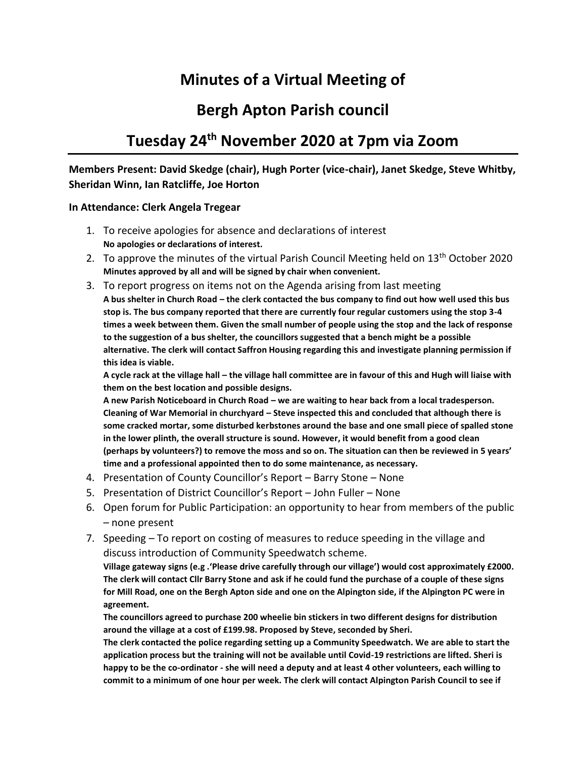# **Minutes of a Virtual Meeting of**

### **Bergh Apton Parish council**

## **Tuesday 24th November 2020 at 7pm via Zoom**

#### **Members Present: David Skedge (chair), Hugh Porter (vice-chair), Janet Skedge, Steve Whitby, Sheridan Winn, Ian Ratcliffe, Joe Horton**

#### **In Attendance: Clerk Angela Tregear**

- 1. To receive apologies for absence and declarations of interest **No apologies or declarations of interest.**
- 2. To approve the minutes of the virtual Parish Council Meeting held on 13<sup>th</sup> October 2020 **Minutes approved by all and will be signed by chair when convenient.**
- 3. To report progress on items not on the Agenda arising from last meeting

**A bus shelter in Church Road – the clerk contacted the bus company to find out how well used this bus stop is. The bus company reported that there are currently four regular customers using the stop 3-4 times a week between them. Given the small number of people using the stop and the lack of response to the suggestion of a bus shelter, the councillors suggested that a bench might be a possible alternative. The clerk will contact Saffron Housing regarding this and investigate planning permission if this idea is viable.** 

**A cycle rack at the village hall – the village hall committee are in favour of this and Hugh will liaise with them on the best location and possible designs.**

**A new Parish Noticeboard in Church Road – we are waiting to hear back from a local tradesperson. Cleaning of War Memorial in churchyard – Steve inspected this and concluded that although there is some cracked mortar, some disturbed kerbstones around the base and one small piece of spalled stone in the lower plinth, the overall structure is sound. However, it would benefit from a good clean (perhaps by volunteers?) to remove the moss and so on. The situation can then be reviewed in 5 years' time and a professional appointed then to do some maintenance, as necessary.** 

- 4. Presentation of County Councillor's Report Barry Stone None
- 5. Presentation of District Councillor's Report John Fuller None
- 6. Open forum for Public Participation: an opportunity to hear from members of the public – none present
- 7. Speeding To report on costing of measures to reduce speeding in the village and discuss introduction of Community Speedwatch scheme.

**Village gateway signs (e.g .'Please drive carefully through our village') would cost approximately £2000. The clerk will contact Cllr Barry Stone and ask if he could fund the purchase of a couple of these signs for Mill Road, one on the Bergh Apton side and one on the Alpington side, if the Alpington PC were in agreement.**

**The councillors agreed to purchase 200 wheelie bin stickers in two different designs for distribution around the village at a cost of £199.98. Proposed by Steve, seconded by Sheri.** 

**The clerk contacted the police regarding setting up a Community Speedwatch. We are able to start the application process but the training will not be available until Covid-19 restrictions are lifted. Sheri is happy to be the co-ordinator - she will need a deputy and at least 4 other volunteers, each willing to commit to a minimum of one hour per week. The clerk will contact Alpington Parish Council to see if**